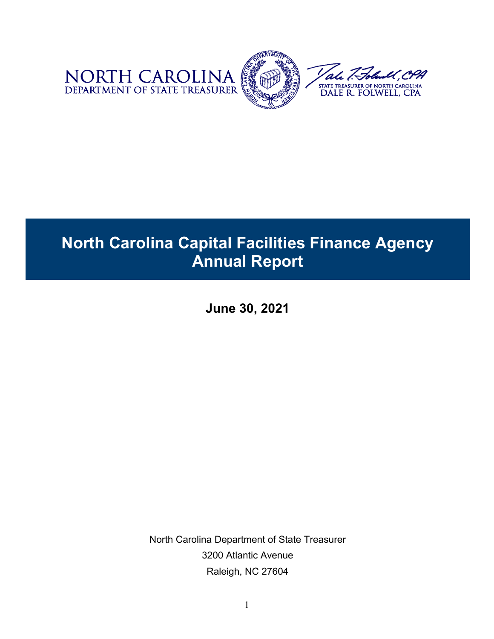

# **North Carolina Capital Facilities Finance Agency Annual Report**

**June 30, 2021**

North Carolina Department of State Treasurer 3200 Atlantic Avenue Raleigh, NC 27604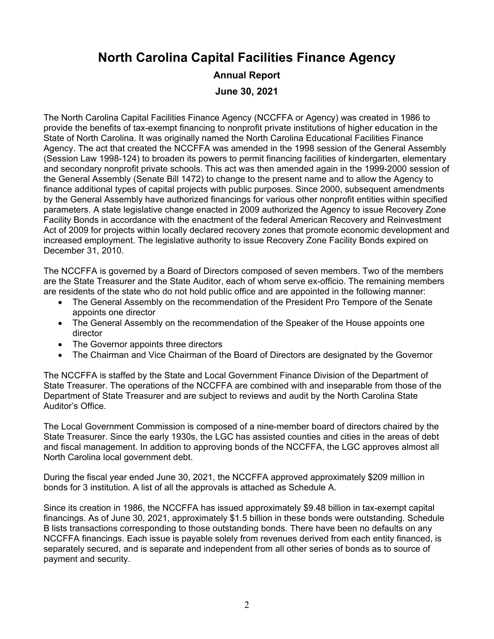### **North Carolina Capital Facilities Finance Agency**

## **Annual Report**

**June 30, 2021** 

The North Carolina Capital Facilities Finance Agency (NCCFFA or Agency) was created in 1986 to provide the benefits of tax-exempt financing to nonprofit private institutions of higher education in the State of North Carolina. It was originally named the North Carolina Educational Facilities Finance Agency. The act that created the NCCFFA was amended in the 1998 session of the General Assembly (Session Law 1998-124) to broaden its powers to permit financing facilities of kindergarten, elementary and secondary nonprofit private schools. This act was then amended again in the 1999-2000 session of the General Assembly (Senate Bill 1472) to change to the present name and to allow the Agency to finance additional types of capital projects with public purposes. Since 2000, subsequent amendments by the General Assembly have authorized financings for various other nonprofit entities within specified parameters. A state legislative change enacted in 2009 authorized the Agency to issue Recovery Zone Facility Bonds in accordance with the enactment of the federal American Recovery and Reinvestment Act of 2009 for projects within locally declared recovery zones that promote economic development and increased employment. The legislative authority to issue Recovery Zone Facility Bonds expired on December 31, 2010.

The NCCFFA is governed by a Board of Directors composed of seven members. Two of the members are the State Treasurer and the State Auditor, each of whom serve ex-officio. The remaining members are residents of the state who do not hold public office and are appointed in the following manner:

- The General Assembly on the recommendation of the President Pro Tempore of the Senate appoints one director
- The General Assembly on the recommendation of the Speaker of the House appoints one director
- The Governor appoints three directors
- The Chairman and Vice Chairman of the Board of Directors are designated by the Governor

The NCCFFA is staffed by the State and Local Government Finance Division of the Department of State Treasurer. The operations of the NCCFFA are combined with and inseparable from those of the Department of State Treasurer and are subject to reviews and audit by the North Carolina State Auditor's Office.

The Local Government Commission is composed of a nine-member board of directors chaired by the State Treasurer. Since the early 1930s, the LGC has assisted counties and cities in the areas of debt and fiscal management. In addition to approving bonds of the NCCFFA, the LGC approves almost all North Carolina local government debt.

During the fiscal year ended June 30, 2021, the NCCFFA approved approximately \$209 million in bonds for 3 institution. A list of all the approvals is attached as Schedule A.

Since its creation in 1986, the NCCFFA has issued approximately \$9.48 billion in tax-exempt capital financings. As of June 30, 2021, approximately \$1.5 billion in these bonds were outstanding. Schedule B lists transactions corresponding to those outstanding bonds. There have been no defaults on any NCCFFA financings. Each issue is payable solely from revenues derived from each entity financed, is separately secured, and is separate and independent from all other series of bonds as to source of payment and security.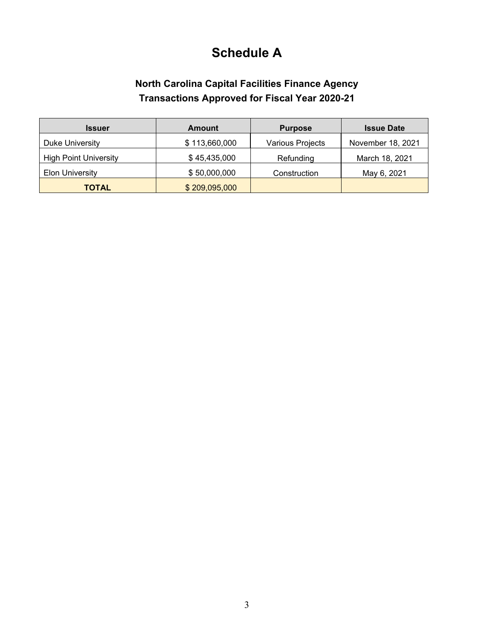## **Schedule A**

#### **North Carolina Capital Facilities Finance Agency Transactions Approved for Fiscal Year 2020-21**

| <b>Issuer</b>                | <b>Amount</b> | <b>Purpose</b>   | <b>Issue Date</b> |
|------------------------------|---------------|------------------|-------------------|
| Duke University              | \$113,660,000 | Various Projects | November 18, 2021 |
| <b>High Point University</b> | \$45,435,000  | Refunding        | March 18, 2021    |
| <b>Elon University</b>       | \$50,000,000  | Construction     | May 6, 2021       |
| <b>TOTAL</b>                 | \$209,095,000 |                  |                   |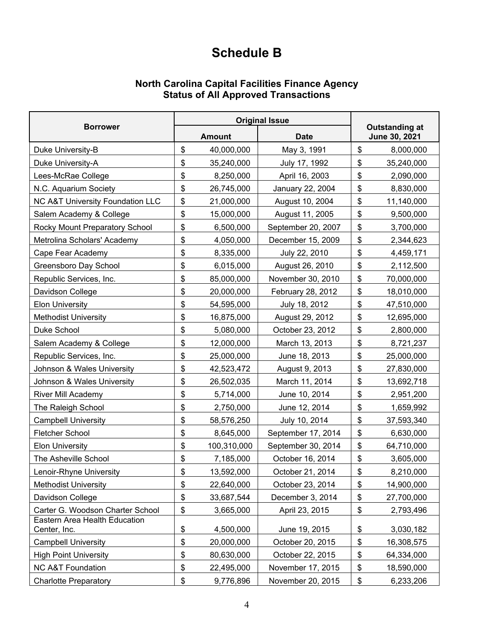## **Schedule B**

#### **North Carolina Capital Facilities Finance Agency Status of All Approved Transactions**

| <b>Borrower</b>                                      |    | <b>Original Issue</b> |                    |                                        |            |
|------------------------------------------------------|----|-----------------------|--------------------|----------------------------------------|------------|
|                                                      |    | <b>Amount</b>         | <b>Date</b>        | <b>Outstanding at</b><br>June 30, 2021 |            |
| Duke University-B                                    | \$ | 40,000,000            | May 3, 1991        | \$                                     | 8,000,000  |
| Duke University-A                                    | \$ | 35,240,000            | July 17, 1992      | \$                                     | 35,240,000 |
| Lees-McRae College                                   | \$ | 8,250,000             | April 16, 2003     | \$                                     | 2,090,000  |
| N.C. Aquarium Society                                | \$ | 26,745,000            | January 22, 2004   | \$                                     | 8,830,000  |
| NC A&T University Foundation LLC                     | \$ | 21,000,000            | August 10, 2004    | \$                                     | 11,140,000 |
| Salem Academy & College                              | \$ | 15,000,000            | August 11, 2005    | \$                                     | 9,500,000  |
| Rocky Mount Preparatory School                       | \$ | 6,500,000             | September 20, 2007 | \$                                     | 3,700,000  |
| Metrolina Scholars' Academy                          | \$ | 4,050,000             | December 15, 2009  | \$                                     | 2,344,623  |
| Cape Fear Academy                                    | \$ | 8,335,000             | July 22, 2010      | \$                                     | 4,459,171  |
| Greensboro Day School                                | \$ | 6,015,000             | August 26, 2010    | \$                                     | 2,112,500  |
| Republic Services, Inc.                              | \$ | 85,000,000            | November 30, 2010  | \$                                     | 70,000,000 |
| Davidson College                                     | \$ | 20,000,000            | February 28, 2012  | \$                                     | 18,010,000 |
| <b>Elon University</b>                               | \$ | 54,595,000            | July 18, 2012      | \$                                     | 47,510,000 |
| <b>Methodist University</b>                          | \$ | 16,875,000            | August 29, 2012    | \$                                     | 12,695,000 |
| Duke School                                          | \$ | 5,080,000             | October 23, 2012   | \$                                     | 2,800,000  |
| Salem Academy & College                              | \$ | 12,000,000            | March 13, 2013     | \$                                     | 8,721,237  |
| Republic Services, Inc.                              | \$ | 25,000,000            | June 18, 2013      | \$                                     | 25,000,000 |
| Johnson & Wales University                           | \$ | 42,523,472            | August 9, 2013     | \$                                     | 27,830,000 |
| Johnson & Wales University                           | \$ | 26,502,035            | March 11, 2014     | \$                                     | 13,692,718 |
| River Mill Academy                                   | \$ | 5,714,000             | June 10, 2014      | \$                                     | 2,951,200  |
| The Raleigh School                                   | \$ | 2,750,000             | June 12, 2014      | \$                                     | 1,659,992  |
| <b>Campbell University</b>                           | \$ | 58,576,250            | July 10, 2014      | \$                                     | 37,593,340 |
| Fletcher School                                      | \$ | 8,645,000             | September 17, 2014 | \$                                     | 6,630,000  |
| <b>Elon University</b>                               | \$ | 100,310,000           | September 30, 2014 | \$                                     | 64,710,000 |
| The Asheville School                                 | \$ | 7,185,000             | October 16, 2014   | \$                                     | 3,605,000  |
| Lenoir-Rhyne University                              | \$ | 13,592,000            | October 21, 2014   | \$                                     | 8,210,000  |
| <b>Methodist University</b>                          | \$ | 22,640,000            | October 23, 2014   | \$                                     | 14,900,000 |
| Davidson College                                     | \$ | 33,687,544            | December 3, 2014   | \$                                     | 27,700,000 |
| Carter G. Woodson Charter School                     | \$ | 3,665,000             | April 23, 2015     | \$                                     | 2,793,496  |
| <b>Eastern Area Health Education</b><br>Center, Inc. | \$ | 4,500,000             | June 19, 2015      | \$                                     | 3,030,182  |
| <b>Campbell University</b>                           | \$ | 20,000,000            | October 20, 2015   | \$                                     | 16,308,575 |
| <b>High Point University</b>                         | \$ | 80,630,000            | October 22, 2015   | \$                                     | 64,334,000 |
| <b>NC A&amp;T Foundation</b>                         | \$ | 22,495,000            | November 17, 2015  | \$                                     | 18,590,000 |
| <b>Charlotte Preparatory</b>                         | \$ | 9,776,896             | November 20, 2015  | \$                                     | 6,233,206  |